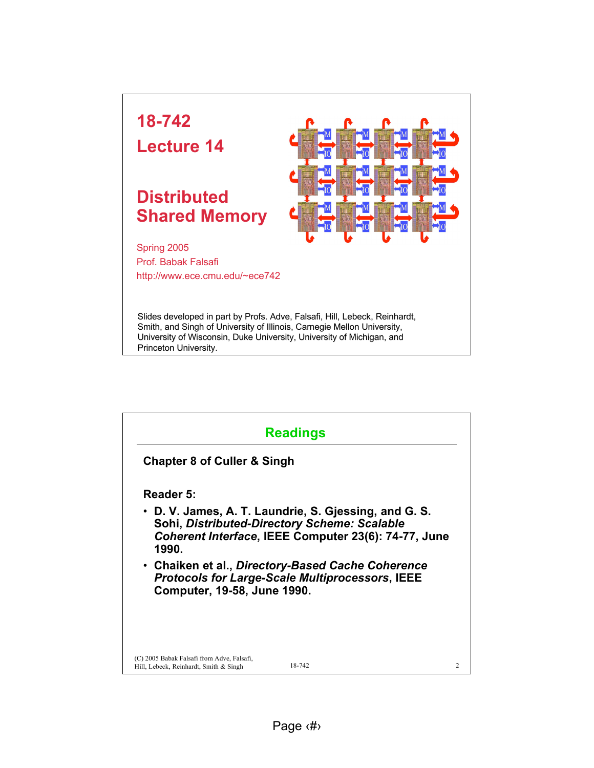

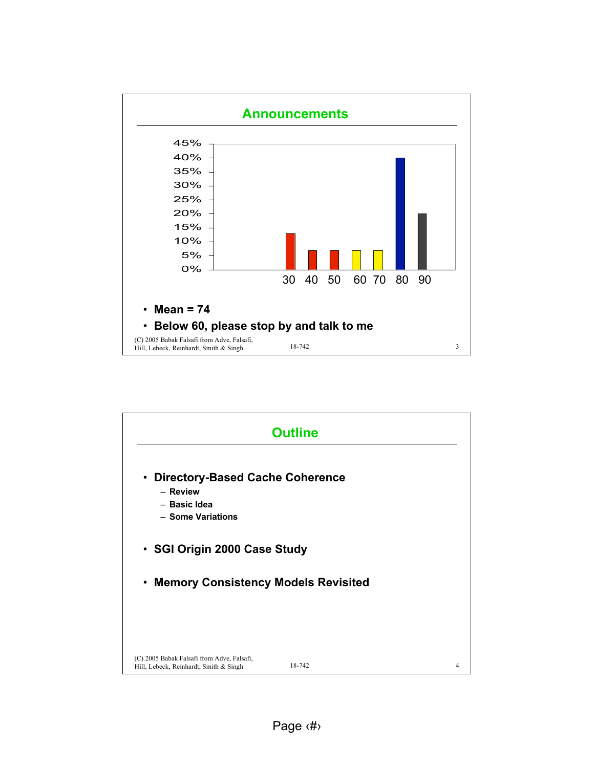

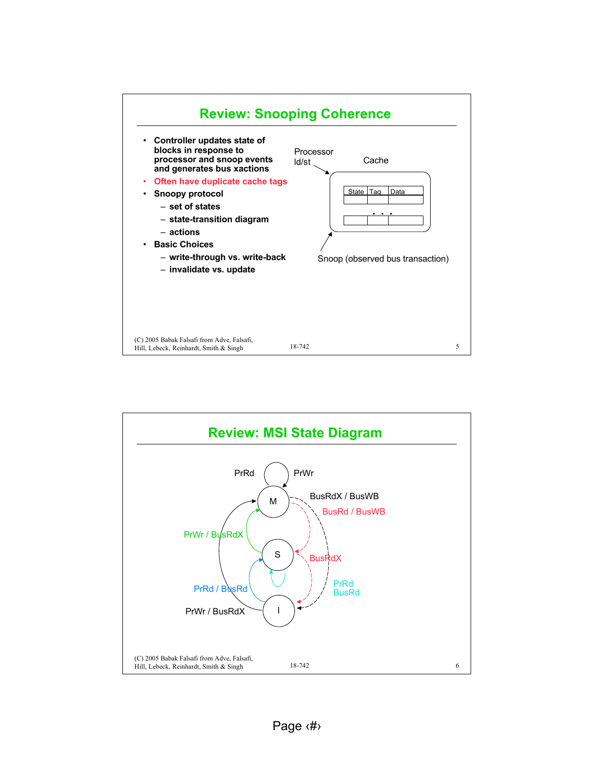

![](_page_2_Figure_1.jpeg)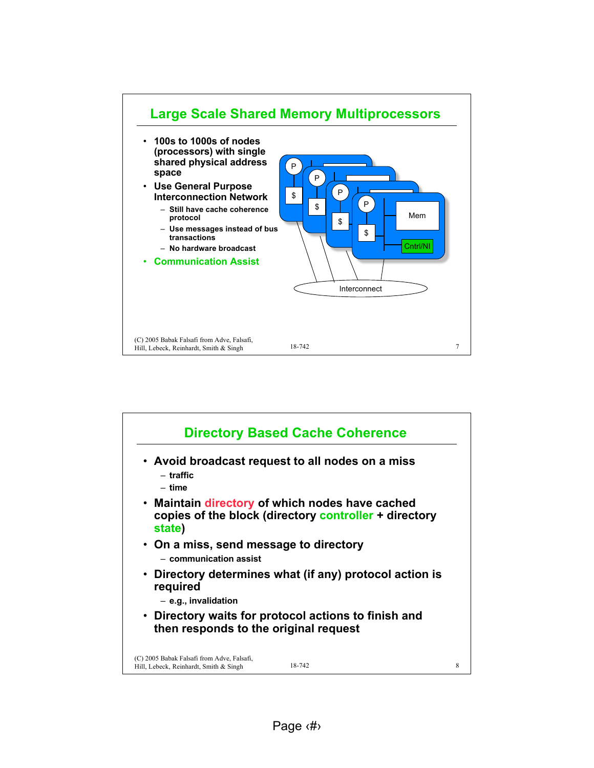![](_page_3_Figure_0.jpeg)

![](_page_3_Figure_1.jpeg)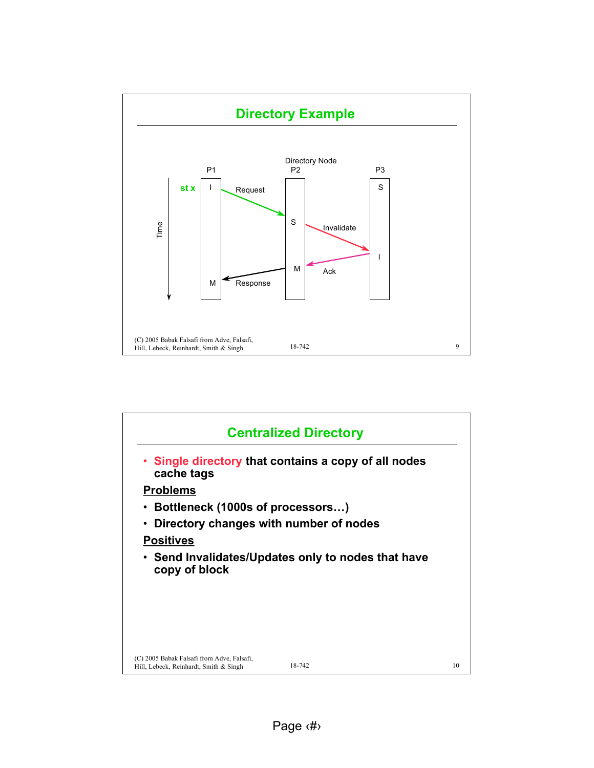![](_page_4_Figure_0.jpeg)

![](_page_4_Figure_1.jpeg)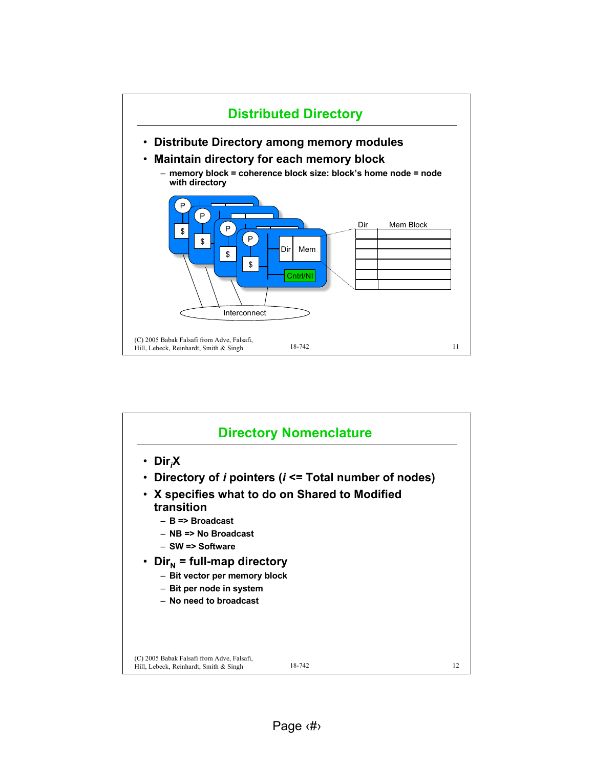![](_page_5_Figure_0.jpeg)

![](_page_5_Figure_1.jpeg)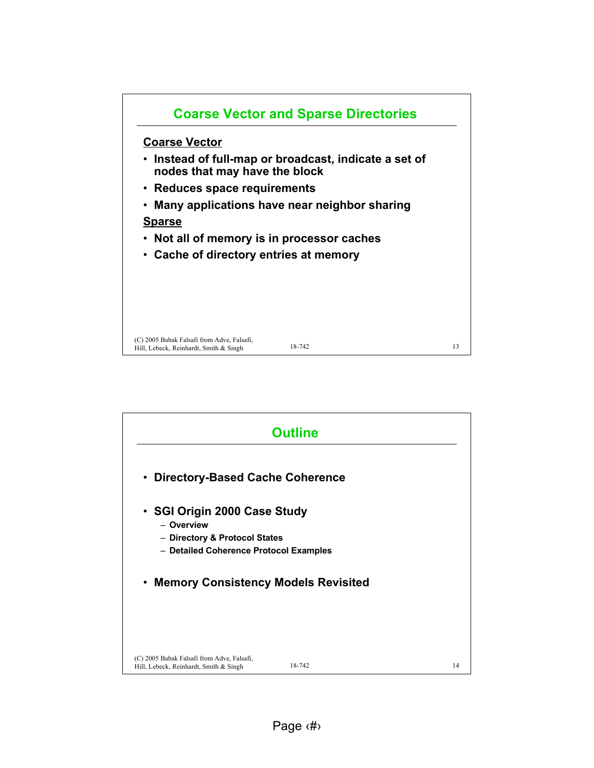![](_page_6_Figure_0.jpeg)

![](_page_6_Figure_1.jpeg)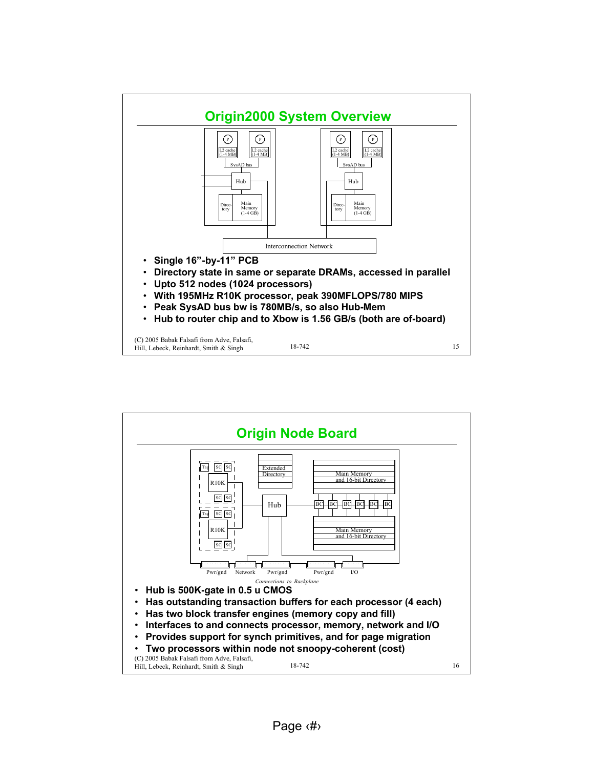![](_page_7_Figure_0.jpeg)

![](_page_7_Figure_1.jpeg)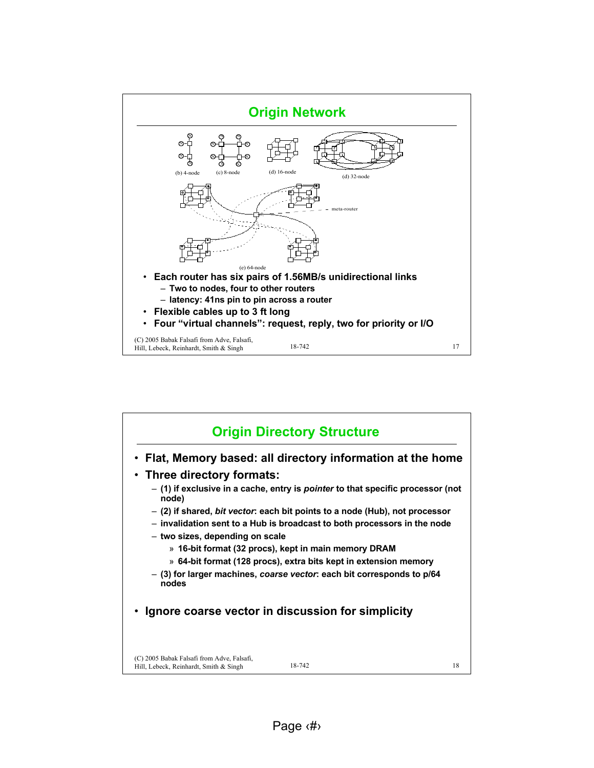![](_page_8_Figure_0.jpeg)

![](_page_8_Figure_1.jpeg)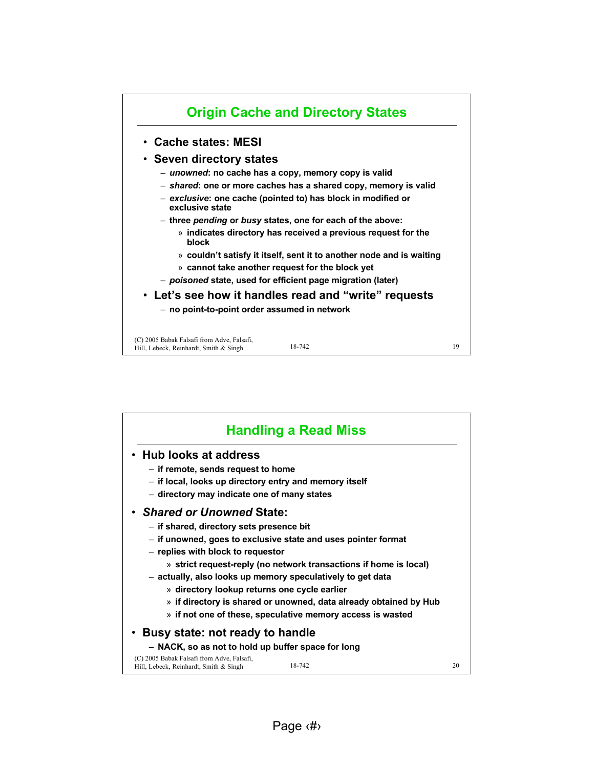![](_page_9_Figure_0.jpeg)

| <b>Handling a Read Miss</b>                                                                                                                                                                                                                                                                                                                                                                                                                                                                        |    |  |  |
|----------------------------------------------------------------------------------------------------------------------------------------------------------------------------------------------------------------------------------------------------------------------------------------------------------------------------------------------------------------------------------------------------------------------------------------------------------------------------------------------------|----|--|--|
| <b>Hub looks at address</b><br>- if remote, sends request to home<br>- if local, looks up directory entry and memory itself<br>- directory may indicate one of many states                                                                                                                                                                                                                                                                                                                         |    |  |  |
| • Shared or Unowned State:<br>- if shared, directory sets presence bit<br>- if unowned, goes to exclusive state and uses pointer format<br>- replies with block to requestor<br>» strict request-reply (no network transactions if home is local)<br>- actually, also looks up memory speculatively to get data<br>» directory lookup returns one cycle earlier<br>» if directory is shared or unowned, data already obtained by Hub<br>» if not one of these, speculative memory access is wasted |    |  |  |
| Busy state: not ready to handle                                                                                                                                                                                                                                                                                                                                                                                                                                                                    |    |  |  |
| - NACK, so as not to hold up buffer space for long<br>(C) 2005 Babak Falsafi from Adve, Falsafi,                                                                                                                                                                                                                                                                                                                                                                                                   |    |  |  |
| 18-742<br>Hill, Lebeck, Reinhardt, Smith & Singh                                                                                                                                                                                                                                                                                                                                                                                                                                                   | 20 |  |  |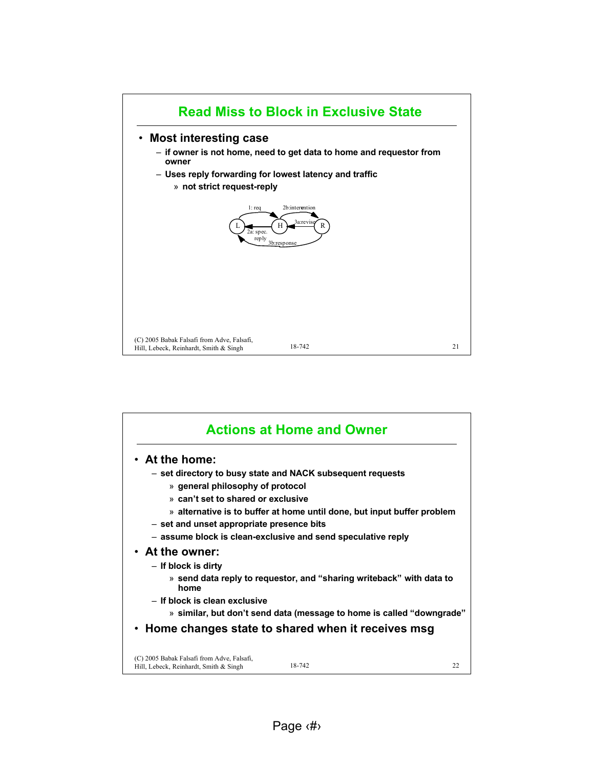![](_page_10_Figure_0.jpeg)

|                                                                                      | <b>Actions at Home and Owner</b> |    |
|--------------------------------------------------------------------------------------|----------------------------------|----|
| • At the home:                                                                       |                                  |    |
| - set directory to busy state and NACK subsequent requests                           |                                  |    |
| » general philosophy of protocol                                                     |                                  |    |
| » can't set to shared or exclusive                                                   |                                  |    |
| » alternative is to buffer at home until done, but input buffer problem              |                                  |    |
| - set and unset appropriate presence bits                                            |                                  |    |
| - assume block is clean-exclusive and send speculative reply                         |                                  |    |
| • At the owner:                                                                      |                                  |    |
| - If block is dirty                                                                  |                                  |    |
| » send data reply to requestor, and "sharing writeback" with data to<br>home         |                                  |    |
| - If block is clean exclusive                                                        |                                  |    |
| » similar, but don't send data (message to home is called "downgrade"                |                                  |    |
| Home changes state to shared when it receives msg                                    |                                  |    |
| (C) 2005 Babak Falsafi from Adve, Falsafi,<br>Hill, Lebeck, Reinhardt, Smith & Singh | 18-742                           | 22 |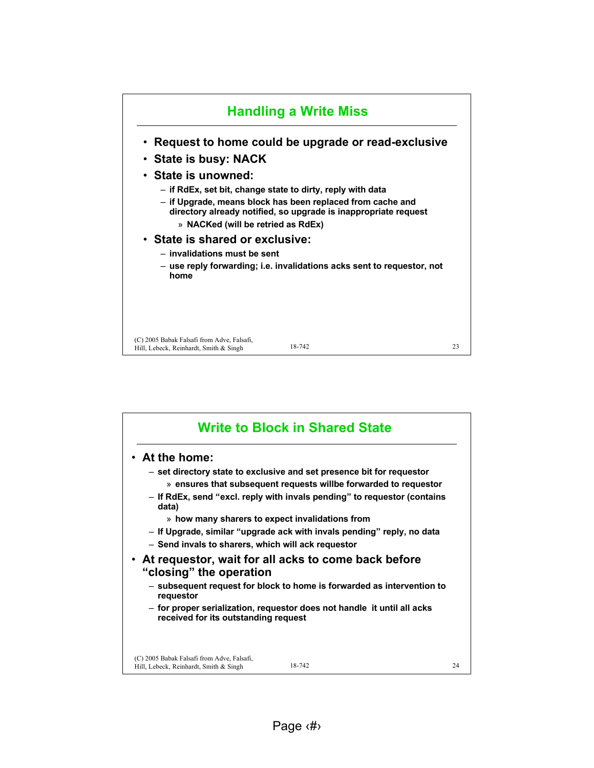![](_page_11_Figure_0.jpeg)

![](_page_11_Figure_1.jpeg)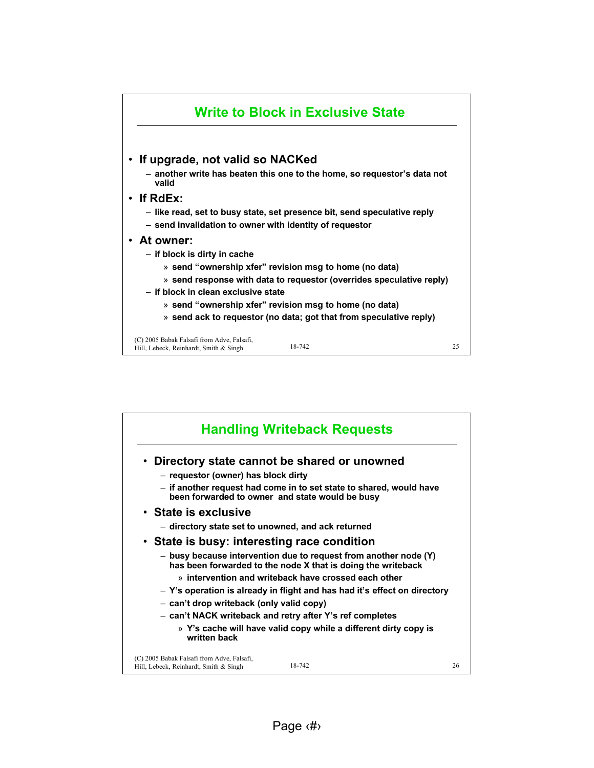![](_page_12_Figure_0.jpeg)

| <b>Handling Writeback Requests</b>                                                                                               |    |
|----------------------------------------------------------------------------------------------------------------------------------|----|
| • Directory state cannot be shared or unowned                                                                                    |    |
| - requestor (owner) has block dirty                                                                                              |    |
| - if another request had come in to set state to shared, would have<br>been forwarded to owner and state would be busy           |    |
| • State is exclusive                                                                                                             |    |
| - directory state set to unowned, and ack returned                                                                               |    |
| • State is busy: interesting race condition                                                                                      |    |
| - busy because intervention due to request from another node (Y)<br>has been forwarded to the node X that is doing the writeback |    |
| » intervention and writeback have crossed each other                                                                             |    |
| – Y's operation is already in flight and has had it's effect on directory                                                        |    |
| - can't drop writeback (only valid copy)                                                                                         |    |
| - can't NACK writeback and retry after Y's ref completes                                                                         |    |
| » Y's cache will have valid copy while a different dirty copy is<br>written back                                                 |    |
| (C) 2005 Babak Falsafi from Adve, Falsafi,<br>18-742<br>Hill, Lebeck, Reinhardt, Smith & Singh                                   | 26 |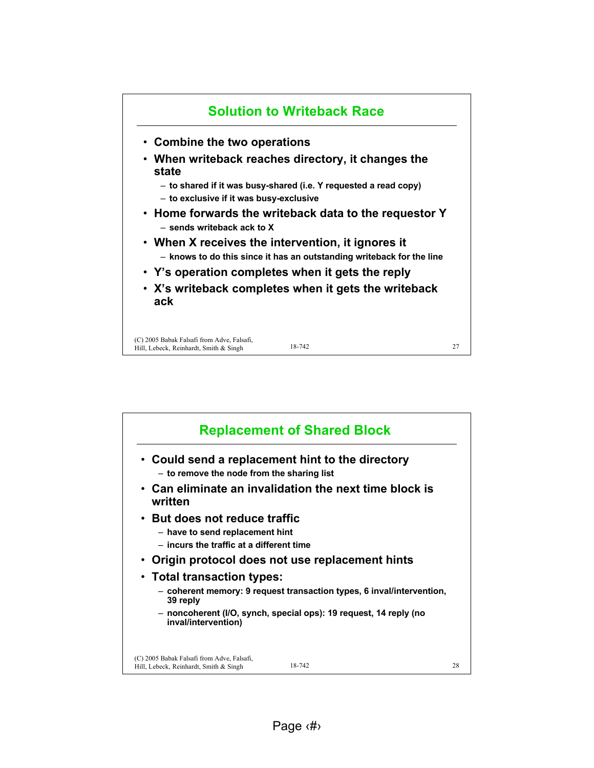![](_page_13_Figure_0.jpeg)

![](_page_13_Figure_1.jpeg)